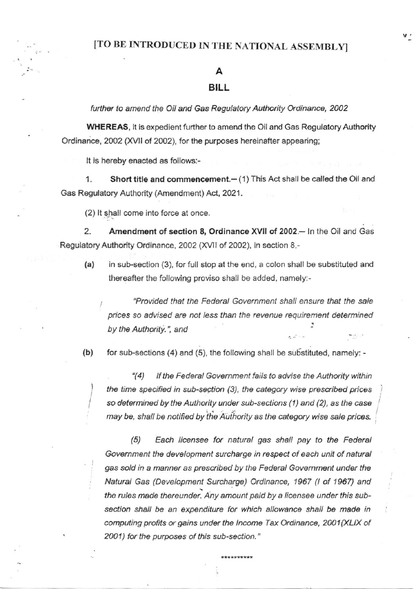### [TO BE INTRODUCED IN THE NATIONAL ASSEMBLY]

#### A

#### **BILL**

further to amend the Oil and Gas Regulatory Authority Ordinance, 2002

**WHEREAS**, it is expedient further to amend the Oil and Gas Regulatory Authority Ordinance, 2002 (XVII of 2002), for the purposes hereinafter appearing;

It is hereby enacted as follows:-

Short title and commencement.- (1) This Act shall be called the Oil and 1. Gas Regulatory Authority (Amendment) Act, 2021.

(2) It shall come into force at once.

2. Amendment of section 8, Ordinance XVII of 2002.- In the Oil and Gas Regulatory Authority Ordinance, 2002 (XVII of 2002), in section 8,-

 $(a)$ in sub-section (3), for full stop at the end, a colon shall be substituted and thereafter the following proviso shall be added, namely:-

"Provided that the Federal Government shall ensure that the sale prices so advised are not less than the revenue requirement determined by the Authority.", and

 $(b)$ 

for sub-sections (4) and (5), the following shall be substituted, namely: -

 $(4)$ If the Federal Government fails to advise the Authority within the time specified in sub-section (3), the category wise prescribed prices so determined by the Authority under sub-sections (1) and (2), as the case may be, shall be notified by the Authority as the category wise sale prices.

 $(5)$ Each licensee for natural gas shall pay to the Federal Government the development surcharge in respect of each unit of natural gas sold in a manner as prescribed by the Federal Government under the Natural Gas (Development Surcharge) Ordinance, 1967 (I of 1967) and the rules made thereunder. Any amount paid by a licensee under this subsection shall be an expenditure for which allowance shall be made in computing profits or gains under the Income Tax Ordinance, 2001(XLIX of 2001) for the purposes of this sub-section."

\*\*\*\*\*\*\*\*\*\*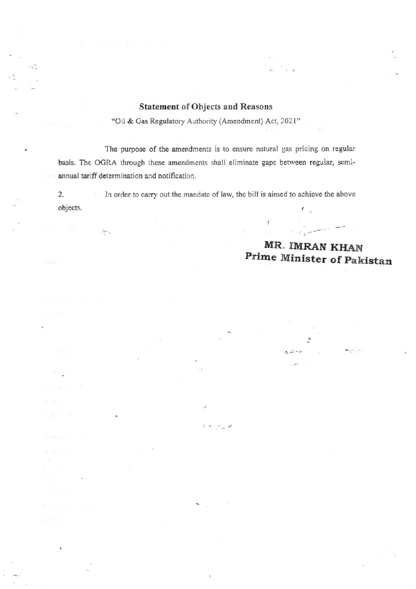#### **Statement of Objects and Reasons**

 $\mathcal{L}_{\mathcal{F}}$ 

 $\ddot{u}$ 

"Oil & Gas Regulatory Authority (Amendment) Act, 2021"

The purpose of the amendments is to ensure natural gas pricing on regular basis. The OGRA through these amendments shall eliminate gaps between regular, semiannual tariff determination and notification.

 $2.$ In order to carry out the mandate of law, the bill is aimed to achieve the above  $\lambda=1.5$ objects.  $\pmb{\prime}$ 

 $\mathcal{F}_{\mu\nu}$  as

ater<sub>a</sub>

r deng

### MR. IMRAN KHAN Prime Minister of Pakistan

وأستغط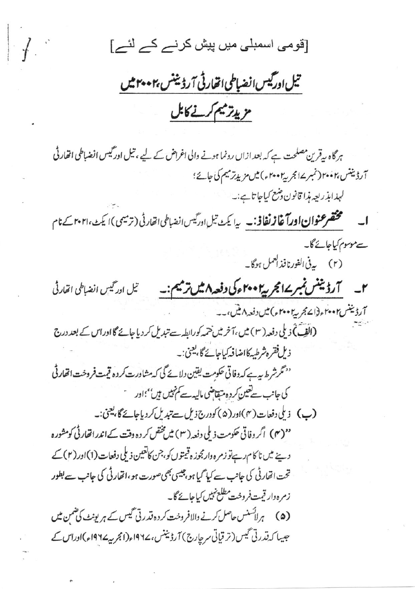[قومی اسمبلی میں پیش کرنے کے لئے]

 $\sqrt{ }$ 

تیل اورکیس انضباطی اتھارٹی آرڈینٹس بہمہ میں مزيدتر ميم كرنے كابل

ہر گاہ ہےقرین مصلحت ہے کہ بعد ازاں رونما ہونے والی اغراض کے لیے ، تیل اور گیس انضباطی اتھارٹی آرڈیننس،۲۰۰۲ (نمبر ۱۷ مجربہ ۲۰۰۲ء) میں مزید ترمیم کی جائے؛ لېدابذريعه مذا قانون د شع کياجاتا ہے:۔ مختصر عنوان اورآغازنغاذ:۔ یہ یکٹ تیل ادرگیس انضباطی اتفارٹی (ترمیمی)ا یکٹ،۲۰۲۱ کے نام سے موسوم کیاجائے گا۔ ۲\_\_ آرڈیننس نمبر ۱۷ مجر پیرا ۲۰۰ ء کی دفعہ ۸ میں ترمیم:۔ تیل ادر گیس انضباطی اتفارٹی آرڈیننس۲۰۰۲ء(اسمجریہ۲۰۰۲ء)میں دفعہ ۸میں،۔۔ (القِبَ)ٓ ذیلی دفعہ ( ٣ ) میں ،آخر میں ختمہ کورابطہ سے تبدیل کر دیا جائے گا اوراس کے بعد درج ذيل فقره شرطيه كااضا فيركباحائے گا، يعني:۔ <sup>دو</sup> مگرشر ط س<sub>ے</sub> کہ دفاتی حکومت یقین دلائے گی کہ مشاورت کر دہ قیمت فروخت اتھارٹی کی جانب سے تعیین کر دہ متقاضی مالیہ سے کم تہیں ہیں''؛اور سینے (پ) د ملی دفعات (۴)اور(۵) کودرج ذیل سے تبدیل کردیاجائے گا، یعنی:۔ ''(۴) اگر وفاتی حکومت ذیلی دفعہ (۳) میں مختص کر دہ وقت کےاندرانقار ٹی کومشورہ وپنے میں ناکام رہےتو زمرہ وارمجوز ہ قیمتوں کو،جن کاتعین ذیلی دفعات (1)اور (٢) کے تحت اتفار ٹی کی جانب سے کیا گیا ہو،جیسی بھی صورت ہو ،اتھارٹی کی جانب سے بطور زمره دار قيت فروخت مطلع نہيں کیاجائے گا۔ (۵) ہر لائسنس حاصل کرنے والافروخت کردہ قدرتی گیس کے ہر یونٹ کی ضمن میں جیسا کہ قدرتی گیس (تر قیاتی سرحارج) آرڈیننس، ۱۹۶۷ء(انجربیہ19۲۷ء)اوراس کے